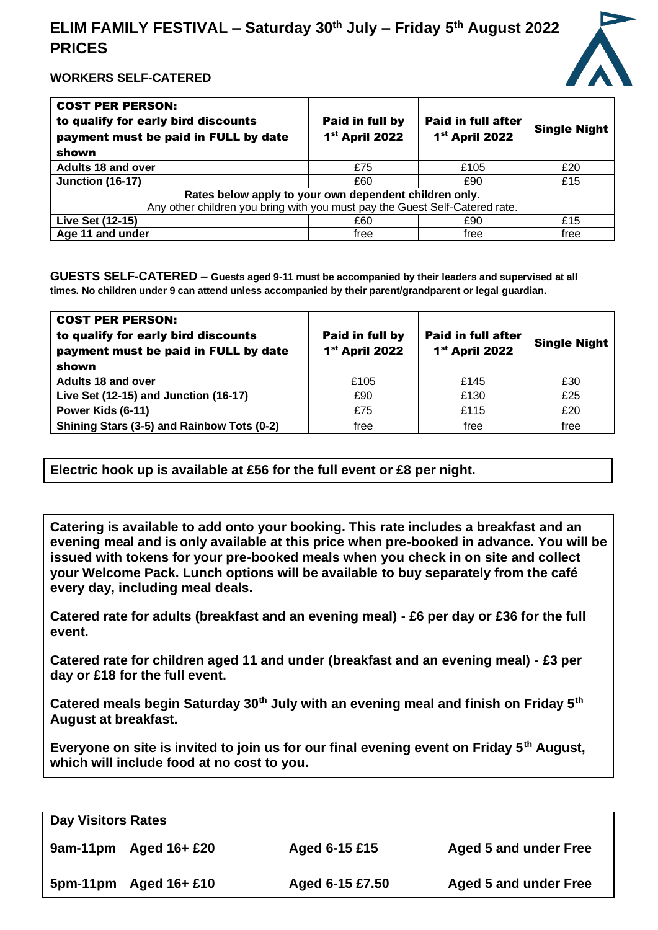# **ELIM FAMILY FESTIVAL – Saturday 30 th July – Friday 5 th August 2022 PRICES**



## **WORKERS SELF-CATERED**

| <b>COST PER PERSON:</b><br>to qualify for early bird discounts<br>payment must be paid in FULL by date<br>shown | Paid in full by<br>1 <sup>st</sup> April 2022 | <b>Paid in full after</b><br>1 <sup>st</sup> April 2022 | <b>Single Night</b> |
|-----------------------------------------------------------------------------------------------------------------|-----------------------------------------------|---------------------------------------------------------|---------------------|
| <b>Adults 18 and over</b>                                                                                       | £75                                           | £105                                                    | £20                 |
| <b>Junction (16-17)</b>                                                                                         | £60                                           | £90                                                     | £15                 |
| Rates below apply to your own dependent children only.                                                          |                                               |                                                         |                     |
| Any other children you bring with you must pay the Guest Self-Catered rate.                                     |                                               |                                                         |                     |
| Live Set (12-15)                                                                                                | £60                                           | £90                                                     | £15                 |
| Age 11 and under                                                                                                | free                                          | free                                                    | free                |

**GUESTS SELF-CATERED – Guests aged 9-11 must be accompanied by their leaders and supervised at all times. No children under 9 can attend unless accompanied by their parent/grandparent or legal guardian.**

| <b>COST PER PERSON:</b><br>to qualify for early bird discounts<br>payment must be paid in FULL by date<br>shown | Paid in full by<br>1 <sup>st</sup> April 2022 | <b>Paid in full after</b><br>1 <sup>st</sup> April 2022 | <b>Single Night</b> |
|-----------------------------------------------------------------------------------------------------------------|-----------------------------------------------|---------------------------------------------------------|---------------------|
| Adults 18 and over                                                                                              | £105                                          | £145                                                    | £30                 |
| Live Set (12-15) and Junction (16-17)                                                                           | £90                                           | £130                                                    | £25                 |
| Power Kids (6-11)                                                                                               | £75                                           | £115                                                    | £20                 |
| Shining Stars (3-5) and Rainbow Tots (0-2)                                                                      | free                                          | free                                                    | free                |

**Electric hook up is available at £56 for the full event or £8 per night.**

**Catering is available to add onto your booking. This rate includes a breakfast and an evening meal and is only available at this price when pre-booked in advance. You will be issued with tokens for your pre-booked meals when you check in on site and collect your Welcome Pack. Lunch options will be available to buy separately from the café every day, including meal deals.**

**Catered rate for adults (breakfast and an evening meal) - £6 per day or £36 for the full event.**

**Catered rate for children aged 11 and under (breakfast and an evening meal) - £3 per day or £18 for the full event.**

**Catered meals begin Saturday 30th July with an evening meal and finish on Friday 5th August at breakfast.** 

**Everyone on site is invited to join us for our final evening event on Friday 5th August, which will include food at no cost to you.**

| <b>Day Visitors Rates</b> |                          |                 |                              |
|---------------------------|--------------------------|-----------------|------------------------------|
|                           | $9$ am-11pm Aged 16+ £20 | Aged 6-15 £15   | <b>Aged 5 and under Free</b> |
| 5pm-11pm                  | Aged 16+ £10             | Aged 6-15 £7.50 | <b>Aged 5 and under Free</b> |